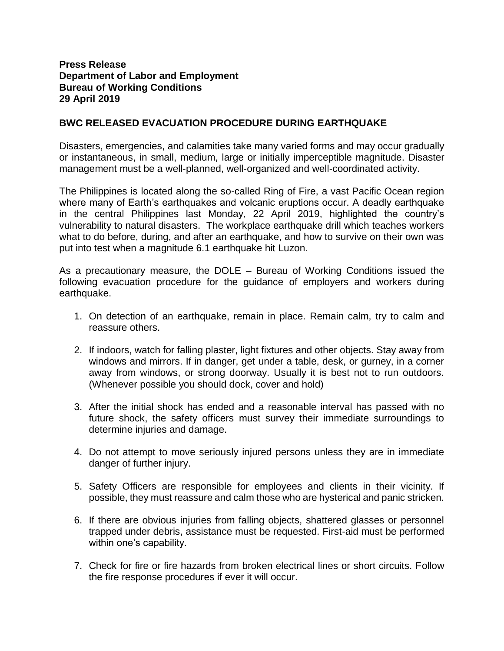## **Press Release Department of Labor and Employment Bureau of Working Conditions 29 April 2019**

## **BWC RELEASED EVACUATION PROCEDURE DURING EARTHQUAKE**

Disasters, emergencies, and calamities take many varied forms and may occur gradually or instantaneous, in small, medium, large or initially imperceptible magnitude. Disaster management must be a well-planned, well-organized and well-coordinated activity.

The Philippines is located along the so-called Ring of Fire, a vast Pacific Ocean region where many of Earth's earthquakes and volcanic eruptions occur. A deadly earthquake in the central Philippines last Monday, 22 April 2019, highlighted the country's vulnerability to natural disasters. The workplace earthquake drill which teaches workers what to do before, during, and after an earthquake, and how to survive on their own was put into test when a magnitude 6.1 earthquake hit Luzon.

As a precautionary measure, the DOLE – Bureau of Working Conditions issued the following evacuation procedure for the guidance of employers and workers during earthquake.

- 1. On detection of an earthquake, remain in place. Remain calm, try to calm and reassure others.
- 2. If indoors, watch for falling plaster, light fixtures and other objects. Stay away from windows and mirrors. If in danger, get under a table, desk, or gurney, in a corner away from windows, or strong doorway. Usually it is best not to run outdoors. (Whenever possible you should dock, cover and hold)
- 3. After the initial shock has ended and a reasonable interval has passed with no future shock, the safety officers must survey their immediate surroundings to determine injuries and damage.
- 4. Do not attempt to move seriously injured persons unless they are in immediate danger of further injury.
- 5. Safety Officers are responsible for employees and clients in their vicinity. If possible, they must reassure and calm those who are hysterical and panic stricken.
- 6. If there are obvious injuries from falling objects, shattered glasses or personnel trapped under debris, assistance must be requested. First-aid must be performed within one's capability.
- 7. Check for fire or fire hazards from broken electrical lines or short circuits. Follow the fire response procedures if ever it will occur.